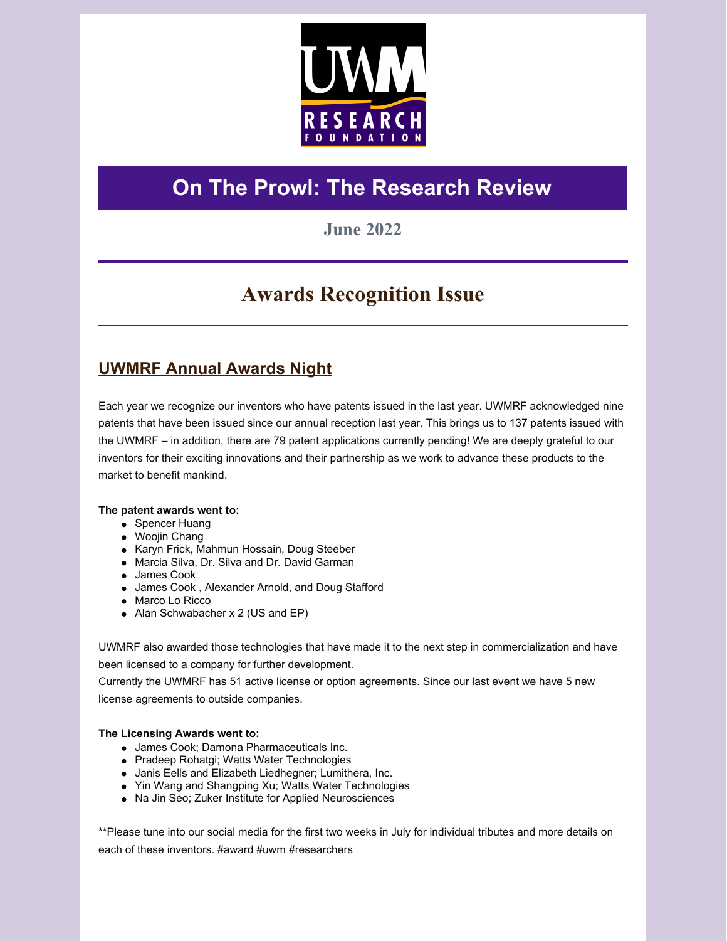

# **On The Prowl: The Research Review**

## **June 2022**

# **Awards Recognition Issue**

## **UWMRF Annual Awards Night**

Each year we recognize our inventors who have patents issued in the last year. UWMRF acknowledged nine patents that have been issued since our annual reception last year. This brings us to 137 patents issued with the UWMRF – in addition, there are 79 patent applications currently pending! We are deeply grateful to our inventors for their exciting innovations and their partnership as we work to advance these products to the market to benefit mankind.

### **The patent awards went to:**

- Spencer Huang
- Woojin Chang
- Karyn Frick, Mahmun Hossain, Doug Steeber
- Marcia Silva, Dr. Silva and Dr. David Garman
- James Cook
- James Cook , Alexander Arnold, and Doug Stafford
- Marco Lo Ricco
- Alan Schwabacher x 2 (US and EP)

UWMRF also awarded those technologies that have made it to the next step in commercialization and have been licensed to a company for further development. Currently the UWMRF has 51 active license or option agreements. Since our last event we have 5 new license agreements to outside companies.

### **The Licensing Awards went to:**

- James Cook; Damona Pharmaceuticals Inc.
- Pradeep Rohatgi; Watts Water Technologies
- Janis Eells and Elizabeth Liedhegner; Lumithera, Inc.
- Yin Wang and Shangping Xu; Watts Water Technologies
- Na Jin Seo; Zuker Institute for Applied Neurosciences

\*\*Please tune into our social media for the first two weeks in July for individual tributes and more details on each of these inventors. #award #uwm #researchers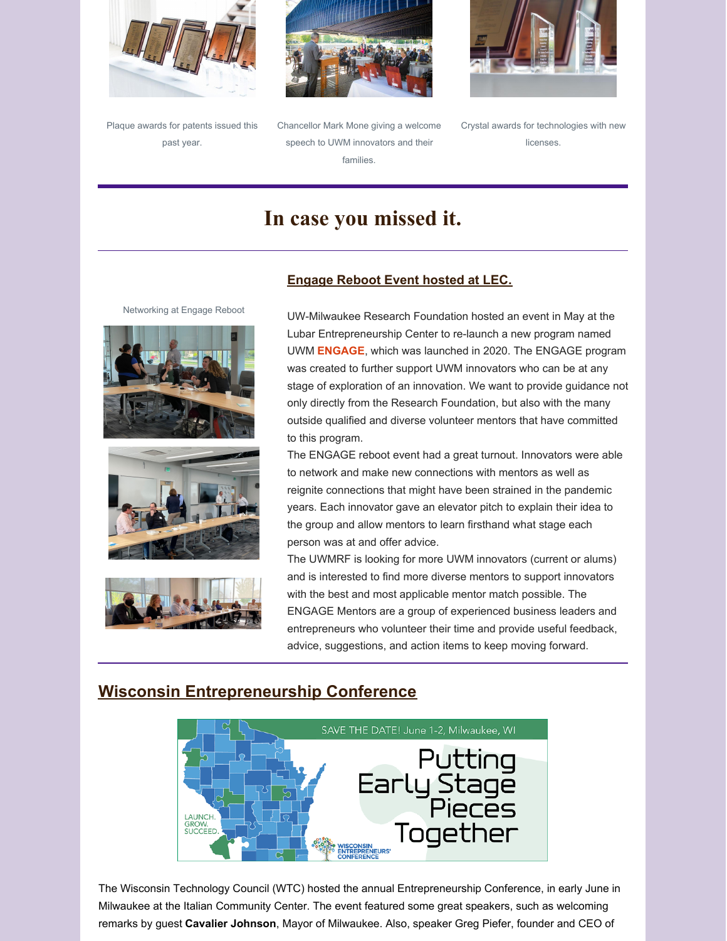





Chancellor Mark Mone giving a welcome speech to UWM innovators and their families.



Crystal awards for technologies with new licenses.

# **In case you missed it.**

Networking at Engage Reboot







### **Engage Reboot Event hosted at LEC.**

UW-Milwaukee Research Foundation hosted an event in May at the Lubar Entrepreneurship Center to re-launch a new program named UWM **ENGAGE**, which was launched in 2020. The ENGAGE program was created to further support UWM innovators who can be at any stage of exploration of an innovation. We want to provide guidance not only directly from the Research Foundation, but also with the many outside qualified and diverse volunteer mentors that have committed to this program.

The ENGAGE reboot event had a great turnout. Innovators were able to network and make new connections with mentors as well as reignite connections that might have been strained in the pandemic years. Each innovator gave an elevator pitch to explain their idea to the group and allow mentors to learn firsthand what stage each person was at and offer advice.

The UWMRF is looking for more UWM innovators (current or alums) and is interested to find more diverse mentors to support innovators with the best and most applicable mentor match possible. The ENGAGE Mentors are a group of experienced business leaders and entrepreneurs who volunteer their time and provide useful feedback, advice, suggestions, and action items to keep moving forward.

## **Wisconsin Entrepreneurship Conference**



The Wisconsin Technology Council (WTC) hosted the annual Entrepreneurship Conference, in early June in Milwaukee at the Italian Community Center. The event featured some great speakers, such as welcoming remarks by guest **Cavalier Johnson**, Mayor of Milwaukee. Also, speaker Greg Piefer, founder and CEO of